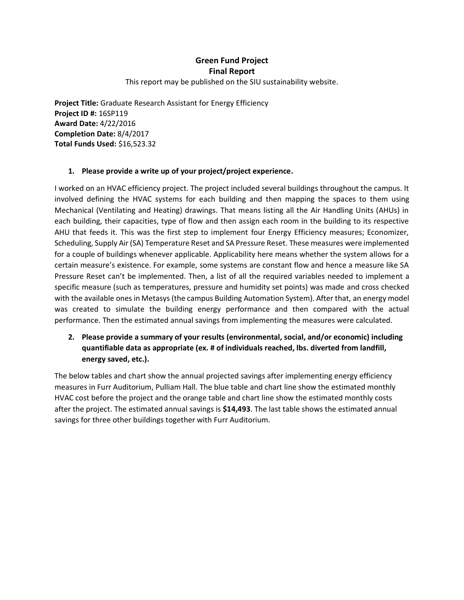## **Green Fund Project Final Report**

This report may be published on the SIU sustainability website.

**Project Title:** Graduate Research Assistant for Energy Efficiency **Project ID #:** 16SP119 **Award Date:** 4/22/2016 **Completion Date:** 8/4/2017 **Total Funds Used:** \$16,523.32

## **1. Please provide a write up of your project/project experience.**

I worked on an HVAC efficiency project. The project included several buildings throughout the campus. It involved defining the HVAC systems for each building and then mapping the spaces to them using Mechanical (Ventilating and Heating) drawings. That means listing all the Air Handling Units (AHUs) in each building, their capacities, type of flow and then assign each room in the building to its respective AHU that feeds it. This was the first step to implement four Energy Efficiency measures; Economizer, Scheduling, Supply Air (SA) Temperature Reset and SA Pressure Reset. These measures were implemented for a couple of buildings whenever applicable. Applicability here means whether the system allows for a certain measure's existence. For example, some systems are constant flow and hence a measure like SA Pressure Reset can't be implemented. Then, a list of all the required variables needed to implement a specific measure (such as temperatures, pressure and humidity set points) was made and cross checked with the available ones in Metasys (the campus Building Automation System). After that, an energy model was created to simulate the building energy performance and then compared with the actual performance. Then the estimated annual savings from implementing the measures were calculated.

**2. Please provide a summary of your results (environmental, social, and/or economic) including quantifiable data as appropriate (ex. # of individuals reached, lbs. diverted from landfill, energy saved, etc.).**

The below tables and chart show the annual projected savings after implementing energy efficiency measures in Furr Auditorium, Pulliam Hall. The blue table and chart line show the estimated monthly HVAC cost before the project and the orange table and chart line show the estimated monthly costs after the project. The estimated annual savings is **\$14,493**. The last table shows the estimated annual savings for three other buildings together with Furr Auditorium.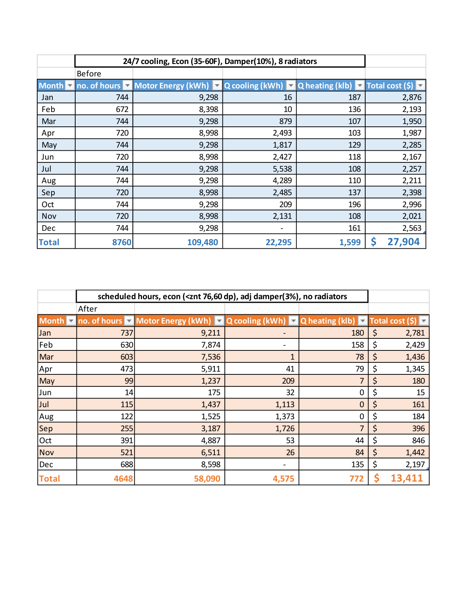|                | 24/7 cooling, Econ (35-60F), Damper(10%), 8 radiators |                                     |                          |                                     |                      |
|----------------|-------------------------------------------------------|-------------------------------------|--------------------------|-------------------------------------|----------------------|
|                | <b>Before</b>                                         |                                     |                          |                                     |                      |
| Month <b>v</b> |                                                       | no. of hours v Motor Energy (kWh) v | Q cooling (kWh) $\nabla$ | Q heating (klb) $\overline{\nabla}$ | Total cost $(\zeta)$ |
| Jan            | 744                                                   | 9,298                               | 16                       | 187                                 | 2,876                |
| Feb            | 672                                                   | 8,398                               | 10                       | 136                                 | 2,193                |
| Mar            | 744                                                   | 9,298                               | 879                      | 107                                 | 1,950                |
| Apr            | 720                                                   | 8,998                               | 2,493                    | 103                                 | 1,987                |
| May            | 744                                                   | 9,298                               | 1,817                    | 129                                 | 2,285                |
| Jun            | 720                                                   | 8,998                               | 2,427                    | 118                                 | 2,167                |
| Jul            | 744                                                   | 9,298                               | 5,538                    | 108                                 | 2,257                |
| Aug            | 744                                                   | 9,298                               | 4,289                    | 110                                 | 2,211                |
| Sep            | 720                                                   | 8,998                               | 2,485                    | 137                                 | 2,398                |
| Oct            | 744                                                   | 9,298                               | 209                      | 196                                 | 2,996                |
| Nov            | 720                                                   | 8,998                               | 2,131                    | 108                                 | 2,021                |
| Dec            | 744                                                   | 9,298                               |                          | 161                                 | 2,563                |
| <b>Total</b>   | 8760                                                  | 109,480                             | 22,295                   | 1,599                               | 27,904<br>Ş          |

|                             | scheduled hours, econ ( <znt 76,60="" adj="" damper(3%),="" dp),="" no="" radiators<="" th=""><th></th></znt> |                                                                                                                                 |       |                |    |                      |
|-----------------------------|---------------------------------------------------------------------------------------------------------------|---------------------------------------------------------------------------------------------------------------------------------|-------|----------------|----|----------------------|
|                             | After                                                                                                         |                                                                                                                                 |       |                |    |                      |
| Month $\blacktriangleright$ |                                                                                                               | no. of hours $\triangledown$ Motor Energy (kWh) $\triangledown$ Q cooling (kWh) $\triangledown$ Q heating (klb) $\triangledown$ |       |                |    | Total cost $(\zeta)$ |
| Jan                         | 737                                                                                                           | 9,211                                                                                                                           |       | 180            | \$ | 2,781                |
| Feb                         | 630                                                                                                           | 7,874                                                                                                                           |       | 158            | \$ | 2,429                |
| Mar                         | 603                                                                                                           | 7,536                                                                                                                           | 1     | 78             | \$ | 1,436                |
| Apr                         | 473                                                                                                           | 5,911                                                                                                                           | 41    | 79             | \$ | 1,345                |
| May                         | 99                                                                                                            | 1,237                                                                                                                           | 209   | $\overline{7}$ | \$ | 180                  |
| Jun                         | 14                                                                                                            | 175                                                                                                                             | 32    | 0              | \$ | 15                   |
| Jul                         | 115                                                                                                           | 1,437                                                                                                                           | 1,113 | $\mathbf 0$    | \$ | 161                  |
| Aug                         | 122                                                                                                           | 1,525                                                                                                                           | 1,373 | 0              | \$ | 184                  |
| Sep                         | 255                                                                                                           | 3,187                                                                                                                           | 1,726 | 7              | \$ | 396                  |
| Oct                         | 391                                                                                                           | 4,887                                                                                                                           | 53    | 44             | \$ | 846                  |
| <b>Nov</b>                  | 521                                                                                                           | 6,511                                                                                                                           | 26    | 84             | \$ | 1,442                |
| Dec                         | 688                                                                                                           | 8,598                                                                                                                           |       | 135            | \$ | 2,197                |
| <b>Total</b>                | 4648                                                                                                          | 58,090                                                                                                                          | 4,575 | 772            |    | 13,411               |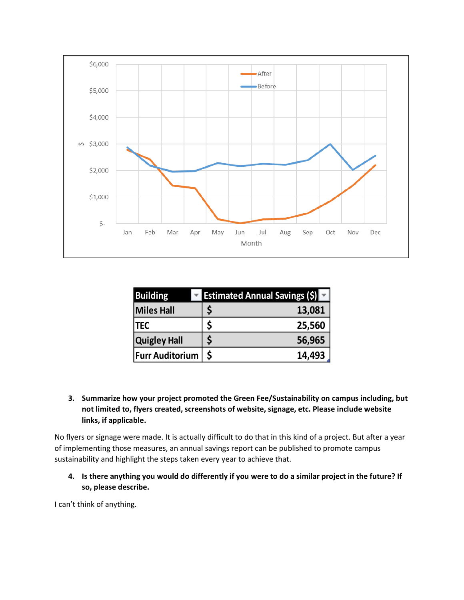

| <b>Building</b>        | <b>Estimated Annual Savings (\$)</b> |        |
|------------------------|--------------------------------------|--------|
| <b>Miles Hall</b>      |                                      | 13,081 |
| <b>TEC</b>             |                                      | 25,560 |
| <b>Quigley Hall</b>    |                                      | 56,965 |
| <b>Furr Auditorium</b> | $\mathsf{\dot{S}}$                   | 14,493 |

**3. Summarize how your project promoted the Green Fee/Sustainability on campus including, but not limited to, flyers created, screenshots of website, signage, etc. Please include website links, if applicable.**

No flyers or signage were made. It is actually difficult to do that in this kind of a project. But after a year of implementing those measures, an annual savings report can be published to promote campus sustainability and highlight the steps taken every year to achieve that.

**4. Is there anything you would do differently if you were to do a similar project in the future? If so, please describe.** 

I can't think of anything.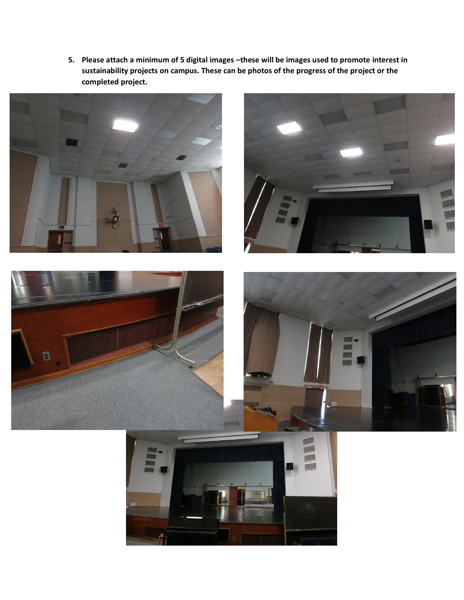**5. Please attach a minimum of 5 digital images –these will be images used to promote interest in sustainability projects on campus. These can be photos of the progress of the project or the completed project.**